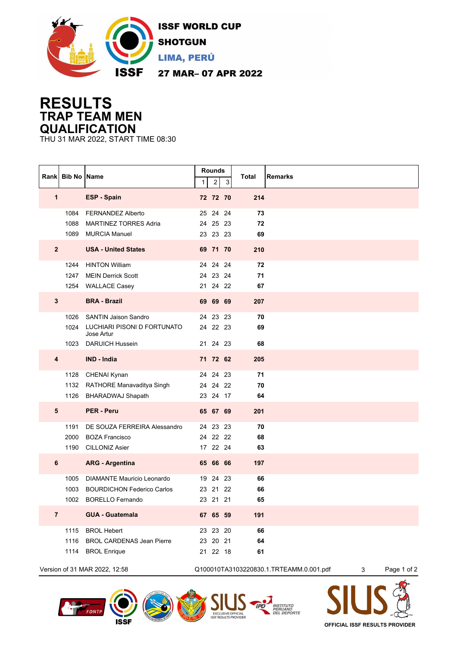

## **RESULTS TRAP TEAM MEN QUALIFICATION**

THU 31 MAR 2022, START TIME 08:30

|                               | Rank Bib No | <b>Name</b>                               | $\mathbf{1}$ | Rounds<br>$\overline{c}$ | 3 | Total<br><b>Remarks</b>                 |                  |
|-------------------------------|-------------|-------------------------------------------|--------------|--------------------------|---|-----------------------------------------|------------------|
| 1                             |             | <b>ESP - Spain</b>                        |              | 72 72 70                 |   | 214                                     |                  |
|                               | 1084        | <b>FERNANDEZ Alberto</b>                  |              | 25 24 24                 |   | 73                                      |                  |
|                               | 1088        | <b>MARTINEZ TORRES Adria</b>              |              | 24 25 23                 |   | 72                                      |                  |
|                               |             | 1089 MURCIA Manuel                        |              | 23 23 23                 |   | 69                                      |                  |
| $\overline{\mathbf{2}}$       |             | <b>USA - United States</b>                |              | 69 71 70                 |   | 210                                     |                  |
|                               | 1244        | <b>HINTON William</b>                     |              | 24 24 24                 |   | 72                                      |                  |
|                               | 1247        | <b>MEIN Derrick Scott</b>                 |              | 24 23 24                 |   | 71                                      |                  |
|                               |             | 1254 WALLACE Casey                        |              | 21 24 22                 |   | 67                                      |                  |
| $\mathbf{3}$                  |             | <b>BRA - Brazil</b>                       |              | 69 69 69                 |   | 207                                     |                  |
|                               | 1026        | <b>SANTIN Jaison Sandro</b>               |              | 24 23 23                 |   | 70                                      |                  |
|                               | 1024        | LUCHIARI PISONI D FORTUNATO<br>Jose Artur |              | 24 22 23                 |   | 69                                      |                  |
|                               |             | 1023 DARUICH Hussein                      |              | 21 24 23                 |   | 68                                      |                  |
| $\overline{\mathbf{4}}$       |             | IND - India                               |              | 71 72 62                 |   | 205                                     |                  |
|                               | 1128        | CHENAI Kynan                              |              | 24 24 23                 |   | 71                                      |                  |
|                               |             | 1132 RATHORE Manavaditya Singh            |              | 24 24 22                 |   | 70                                      |                  |
|                               |             | 1126 BHARADWAJ Shapath                    |              | 23 24 17                 |   | 64                                      |                  |
| $5\phantom{1}$                |             | <b>PER - Peru</b>                         |              | 65 67 69                 |   | 201                                     |                  |
|                               | 1191        | DE SOUZA FERREIRA Alessandro              |              | 24 23 23                 |   | 70                                      |                  |
|                               | 2000        | <b>BOZA Francisco</b>                     |              | 24 22 22                 |   | 68                                      |                  |
|                               | 1190        | <b>CILLONIZ Asier</b>                     |              | 17 22 24                 |   | 63                                      |                  |
| 6                             |             | <b>ARG - Argentina</b>                    |              | 65 66 66                 |   | 197                                     |                  |
|                               | 1005        | DIAMANTE Mauricio Leonardo                |              | 19 24 23                 |   | 66                                      |                  |
|                               | 1003        | <b>BOURDICHON Federico Carlos</b>         |              | 23 21 22                 |   | 66                                      |                  |
|                               | 1002        | <b>BORELLO Fernando</b>                   |              | 23 21 21                 |   | 65                                      |                  |
| $\overline{7}$                |             | <b>GUA - Guatemala</b>                    |              | 67 65 59                 |   | 191                                     |                  |
|                               | 1115        | <b>BROL Hebert</b>                        |              | 23 23 20                 |   | 66                                      |                  |
|                               | 1116        | <b>BROL CARDENAS Jean Pierre</b>          |              | 23 20 21                 |   | 64                                      |                  |
|                               | 1114        | <b>BROL Enrique</b>                       |              | 21  22  18               |   | 61                                      |                  |
| Version of 31 MAR 2022, 12:58 |             |                                           |              |                          |   | Q100010TA3103220830.1.TRTEAMM.0.001.pdf | Page 1 of 2<br>3 |